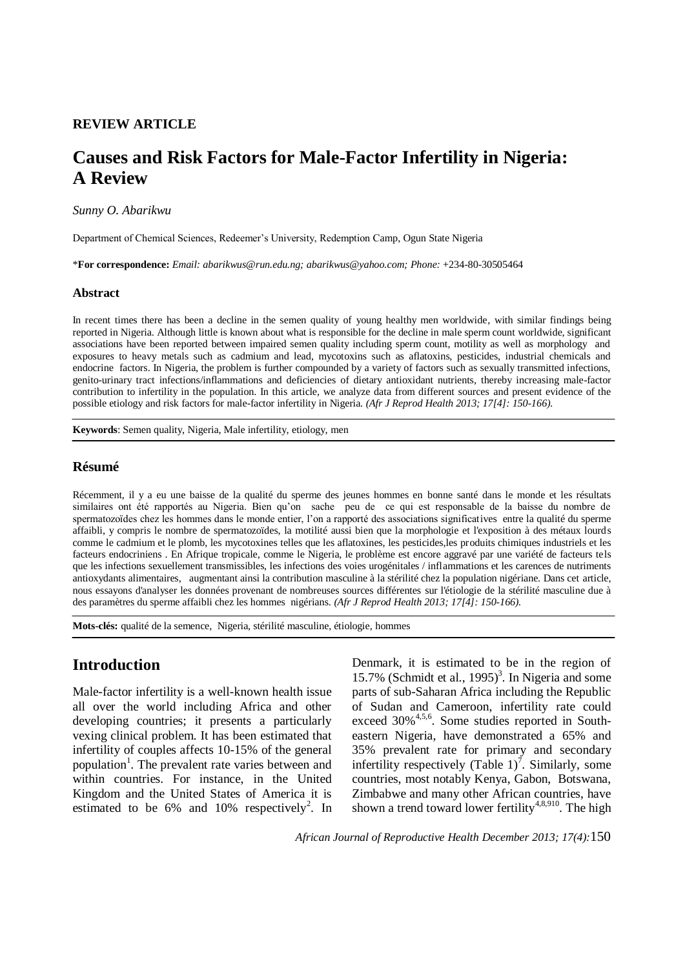# **REVIEW ARTICLE**

# **Causes and Risk Factors for Male-Factor Infertility in Nigeria: A Review**

### *Sunny O. Abarikwu*

Department of Chemical Sciences, Redeemer's University, Redemption Camp, Ogun State Nigeria

\***For correspondence:** *Email: abarikwus@run.edu.ng; abarikwus@yahoo.com; Phone:* +234-80-30505464

### **Abstract**

In recent times there has been a decline in the semen quality of young healthy men worldwide, with similar findings being reported in Nigeria. Although little is known about what is responsible for the decline in male sperm count worldwide, significant associations have been reported between impaired semen quality including sperm count, motility as well as morphology and exposures to heavy metals such as cadmium and lead, mycotoxins such as aflatoxins, pesticides, industrial chemicals and endocrine factors. In Nigeria, the problem is further compounded by a variety of factors such as sexually transmitted infections, genito-urinary tract infections/inflammations and deficiencies of dietary antioxidant nutrients, thereby increasing male-factor contribution to infertility in the population. In this article, we analyze data from different sources and present evidence of the possible etiology and risk factors for male-factor infertility in Nigeria. *(Afr J Reprod Health 2013; 17[4]: 150-166).*

**Keywords**: Semen quality, Nigeria, Male infertility, etiology, men

### **Résumé**

Récemment, il y a eu une baisse de la qualité du sperme des jeunes hommes en bonne santé dans le monde et les résultats similaires ont été rapportés au Nigeria. Bien qu'on sache peu de ce qui est responsable de la baisse du nombre de spermatozoïdes chez les hommes dans le monde entier, l'on a rapporté des associations significatives entre la qualité du sperme affaibli, y compris le nombre de spermatozoïdes, la motilité aussi bien que la morphologie et l'exposition à des métaux lourds comme le cadmium et le plomb, les mycotoxines telles que les aflatoxines, les pesticides,les produits chimiques industriels et les facteurs endocriniens . En Afrique tropicale, comme le Nigeria, le problème est encore aggravé par une variété de facteurs tels que les infections sexuellement transmissibles, les infections des voies urogénitales / inflammations et les carences de nutriments antioxydants alimentaires, augmentant ainsi la contribution masculine à la stérilité chez la population nigériane. Dans cet article, nous essayons d'analyser les données provenant de nombreuses sources différentes sur l'étiologie de la stérilité masculine due à des paramètres du sperme affaibli chez les hommes nigérians. *(Afr J Reprod Health 2013; 17[4]: 150-166).*

**Mots-clés:** qualité de la semence, Nigeria, stérilité masculine, étiologie, hommes

# **Introduction**

Male-factor infertility is a well-known health issue all over the world including Africa and other developing countries; it presents a particularly vexing clinical problem. It has been estimated that infertility of couples affects 10-15% of the general population<sup>1</sup>. The prevalent rate varies between and within countries. For instance, in the United Kingdom and the United States of America it is estimated to be  $6\%$  and  $10\%$  respectively<sup>2</sup>. In Denmark, it is estimated to be in the region of 15.7% (Schmidt et al.,  $1995$ <sup>3</sup>. In Nigeria and some parts of sub-Saharan Africa including the Republic of Sudan and Cameroon, infertility rate could exceed 30%<sup>4,5,6</sup>. Some studies reported in Southeastern Nigeria, have demonstrated a 65% and 35% prevalent rate for primary and secondary infertility respectively (Table  $1$ )<sup>7</sup>. Similarly, some countries, most notably Kenya, Gabon, Botswana, Zimbabwe and many other African countries, have shown a trend toward lower fertility<sup>4,8,910</sup>. The high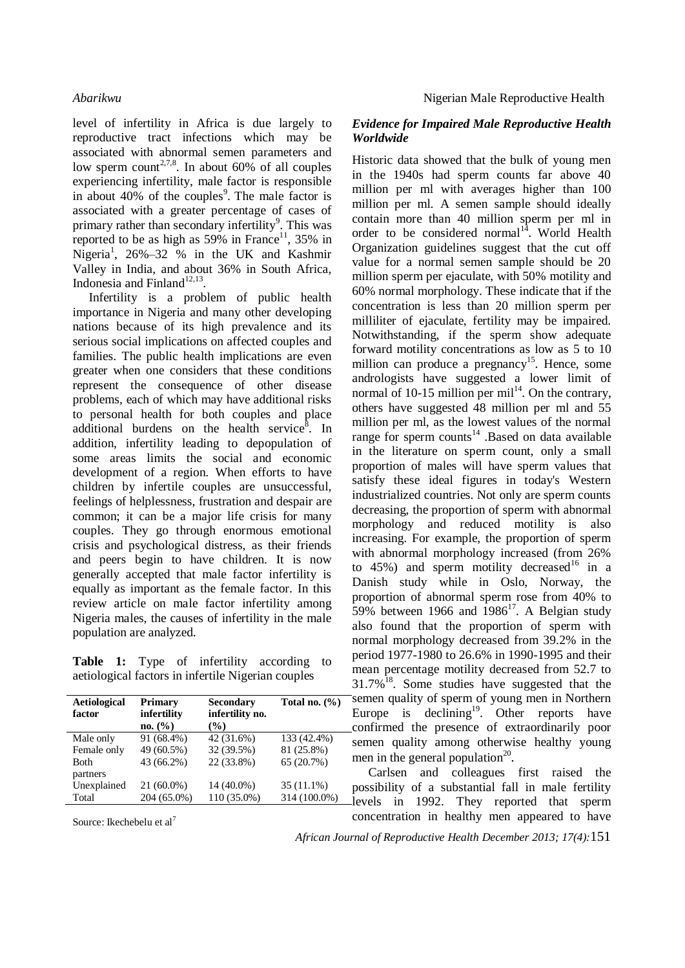level of infertility in Africa is due largely to reproductive tract infections which may be associated with abnormal semen parameters and low sperm count<sup>2,7,8</sup>. In about 60% of all couples experiencing infertility, male factor is responsible in about  $40\%$  of the couples<sup>9</sup>. The male factor is associated with a greater percentage of cases of primary rather than secondary infertility<sup>9</sup>. This was reported to be as high as  $59\%$  in France<sup>11</sup>,  $35\%$  in Nigeria<sup>1</sup>, 26%-32 % in the UK and Kashmir Valley in India, and about 36% in South Africa, Indonesia and Finland $^{12,13}$ .

Infertility is a problem of public health importance in Nigeria and many other developing nations because of its high prevalence and its serious social implications on affected couples and families. The public health implications are even greater when one considers that these conditions represent the consequence of other disease problems, each of which may have additional risks to personal health for both couples and place additional burdens on the health service<sup>8</sup>. In addition, infertility leading to depopulation of some areas limits the social and economic development of a region. When efforts to have children by infertile couples are unsuccessful, feelings of helplessness, frustration and despair are common; it can be a major life crisis for many couples. They go through enormous emotional crisis and psychological distress, as their friends and peers begin to have children. It is now generally accepted that male factor infertility is equally as important as the female factor. In this review article on male factor infertility among Nigeria males, the causes of infertility in the male population are analyzed.

**Table 1:** Type of infertility according to aetiological factors in infertile Nigerian couples

| Primary<br>infertility<br>no. (%) | <b>Secondary</b><br>infertility no.<br>$(\%)$ | Total no. $(\%)$ |
|-----------------------------------|-----------------------------------------------|------------------|
| 91 (68.4%)                        | 42 (31.6%)                                    | 133 (42.4%)      |
| 49 (60.5%)                        | 32 (39.5%)                                    | 81 (25.8%)       |
| 43 (66.2%)                        | 22 (33.8%)                                    | 65 (20.7%)       |
|                                   |                                               |                  |
| $21(60.0\%)$                      | 14 (40.0%)                                    | $35(11.1\%)$     |
| 204 (65.0%)                       | 110 (35.0%)                                   | 314 (100.0%)     |
|                                   |                                               |                  |

Source: Ikechebelu et al<sup>7</sup>

# *Evidence for Impaired Male Reproductive Health Worldwide*

Historic data showed that the bulk of young men in the 1940s had sperm counts far above 40 million per ml with averages higher than 100 million per ml. A semen sample should ideally contain more than 40 million sperm per ml in order to be considered normal $1<sup>14</sup>$ . World Health Organization guidelines suggest that the cut off value for a normal semen sample should be 20 million sperm per ejaculate, with 50% motility and 60% normal morphology. These indicate that if the concentration is less than 20 million sperm per milliliter of ejaculate, fertility may be impaired. Notwithstanding, if the sperm show adequate forward motility concentrations as low as 5 to 10 million can produce a pregnancy<sup>15</sup>. Hence, some andrologists have suggested a lower limit of normal of 10-15 million per mil<sup>14</sup>. On the contrary, others have suggested 48 million per ml and 55 million per ml, as the lowest values of the normal range for sperm counts<sup>14</sup> .Based on data available in the literature on sperm count, only a small proportion of males will have sperm values that satisfy these ideal figures in today's Western industrialized countries. Not only are sperm counts decreasing, the proportion of sperm with abnormal morphology and reduced motility is also increasing. For example, the proportion of sperm with abnormal morphology increased (from 26% to  $45\%$ ) and sperm motility decreased<sup>16</sup> in a Danish study while in Oslo, Norway, the proportion of abnormal sperm rose from 40% to  $59\%$  between 1966 and  $1986^{17}$ . A Belgian study also found that the proportion of sperm with normal morphology decreased from 39.2% in the period 1977-1980 to 26.6% in 1990-1995 and their mean percentage motility decreased from 52.7 to  $31.7\%$ <sup>18</sup>. Some studies have suggested that the semen quality of sperm of young men in Northern Europe is declining<sup>19</sup>. Other reports have confirmed the presence of extraordinarily poor semen quality among otherwise healthy young men in the general population<sup>20</sup>.

Carlsen and colleagues first raised the possibility of a substantial fall in male fertility levels in 1992. They reported that sperm concentration in healthy men appeared to have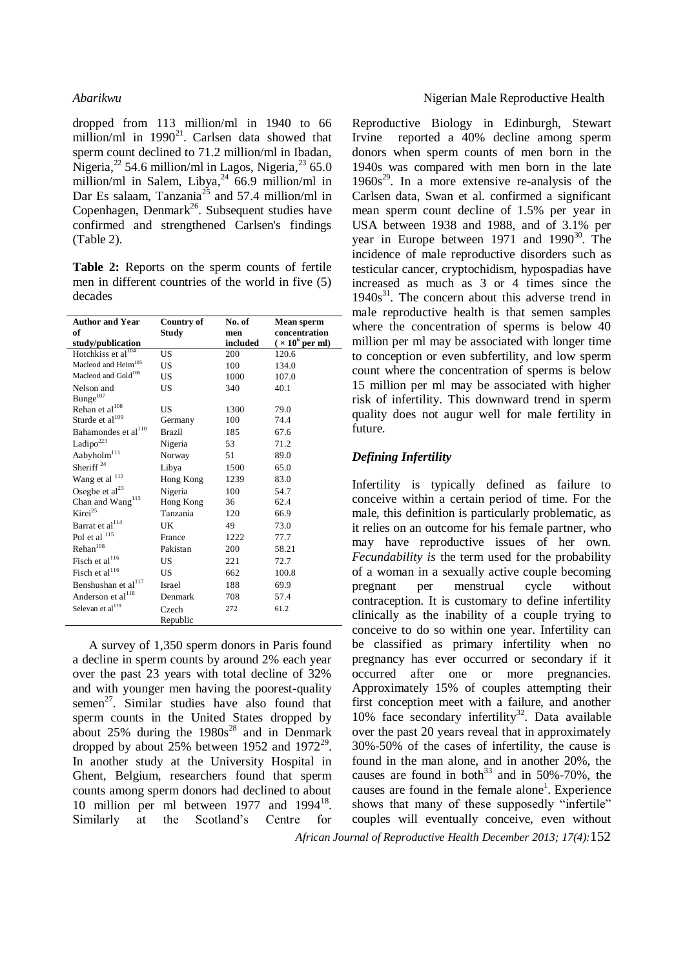dropped from 113 million/ml in 1940 to 66 million/ml in  $1990^{21}$ . Carlsen data showed that sperm count declined to 71.2 million/ml in Ibadan, Nigeria,<sup>22</sup> 54.6 million/ml in Lagos, Nigeria,<sup>23</sup> 65.0 million/ml in Salem, Libya, $24/66.9$  million/ml in Dar Es salaam, Tanzania<sup>25</sup> and 57.4 million/ml in Copenhagen, Denmark<sup>26</sup>. Subsequent studies have confirmed and strengthened Carlsen's findings (Table 2).

**Table 2:** Reports on the sperm counts of fertile men in different countries of the world in five (5) decades

| <b>Author and Year</b>          | Country of    | No. of   | Mean sperm             |
|---------------------------------|---------------|----------|------------------------|
| of                              | Study         | men      | concentration          |
| study/publication               |               | included | $(\times 10^6$ per ml) |
| Hotchkiss et al <sup>104</sup>  | US            | 200      | 120.6                  |
| Macleod and Heim <sup>105</sup> | US            | 100      | 134.0                  |
| Macleod and Gold <sup>106</sup> | US            | 1000     | 107.0                  |
| Nelson and                      | US            | 340      | 40.1                   |
| Bunge <sup>107</sup>            |               |          |                        |
| Rehan et al <sup>108</sup>      | US            | 1300     | 79.0                   |
| Sturde et al <sup>109</sup>     | Germany       | 100      | 74.4                   |
| Bahamondes et al <sup>110</sup> | <b>Brazil</b> | 185      | 67.6                   |
| Ladipo $223$                    | Nigeria       | 53       | 71.2                   |
| Aabyholm <sup>111</sup>         | Norway        | 51       | 89.0                   |
| Sheriff <sup>24</sup>           | Libya         | 1500     | 65.0                   |
| Wang et al 112                  | Hong Kong     | 1239     | 83.0                   |
| Osegbe et $al23$                | Nigeria       | 100      | 54.7                   |
| Chan and Wang <sup>113</sup>    | Hong Kong     | 36       | 62.4                   |
| Kirei <sup>25</sup>             | Tanzania      | 120      | 66.9                   |
| Barrat et al <sup>114</sup>     | UK.           | 49       | 73.0                   |
| Pol et al 115                   | France        | 1222     | 77.7                   |
| Rehan <sup>108</sup>            | Pakistan      | 200      | 58.21                  |
| Fisch et al <sup>116</sup>      | US.           | 221      | 72.7                   |
| Fisch et al <sup>116</sup>      | US            | 662      | 100.8                  |
| Benshushan et al <sup>117</sup> | Israel        | 188      | 69.9                   |
| Anderson et al <sup>118</sup>   | Denmark       | 708      | 57.4                   |
| Selevan et al <sup>119</sup>    | Czech         | 272      | 61.2                   |
|                                 | Republic      |          |                        |

A survey of 1,350 sperm donors in Paris found a decline in sperm counts by around 2% each year over the past 23 years with total decline of 32% and with younger men having the poorest-quality  $\varepsilon$ semen<sup>27</sup>. Similar studies have also found that sperm counts in the United States dropped by about  $25\%$  during the  $1980s^{28}$  and in Denmark dropped by about  $25%$  between 1952 and 1972<sup>29</sup>. In another study at the University Hospital in Ghent, Belgium, researchers found that sperm counts among sperm donors had declined to about 10 million per ml between  $1977$  and  $1994^{18}$ . Similarly at the Scotland's Centre for

Reproductive Biology in Edinburgh, Stewart Irvine reported a 40% decline among sperm donors when sperm counts of men born in the 1940s was compared with men born in the late  $1960s<sup>29</sup>$ . In a more extensive re-analysis of the Carlsen data, Swan et al. confirmed a significant mean sperm count decline of 1.5% per year in USA between 1938 and 1988, and of 3.1% per year in Europe between  $1971$  and  $1990^{30}$ . The incidence of male reproductive disorders such as testicular cancer, cryptochidism, hypospadias have increased as much as 3 or 4 times since the  $1940s<sup>31</sup>$ . The concern about this adverse trend in male reproductive health is that semen samples where the concentration of sperms is below 40 million per ml may be associated with longer time to conception or even subfertility, and low sperm count where the concentration of sperms is below 15 million per ml may be associated with higher risk of infertility. This downward trend in sperm quality does not augur well for male fertility in future.

# *Defining Infertility*

Infertility is typically defined as failure to conceive within a certain period of time. For the male, this definition is particularly problematic, as it relies on an outcome for his female partner, who may have reproductive issues of her own. *Fecundability is* the term used for the probability of a woman in a sexually active couple becoming pregnant per menstrual cycle without contraception. It is customary to define infertility clinically as the inability of a couple trying to conceive to do so within one year. Infertility can be classified as primary infertility when no pregnancy has ever occurred or secondary if it occurred after one or more pregnancies. Approximately 15% of couples attempting their first conception meet with a failure, and another 10% face secondary infertility<sup>32</sup>. Data available over the past 20 years reveal that in approximately 30%-50% of the cases of infertility, the cause is found in the man alone, and in another 20%, the causes are found in both<sup>33</sup> and in 50%-70%, the causes are found in the female alone<sup>1</sup>. Experience shows that many of these supposedly "infertile" couples will eventually conceive, even without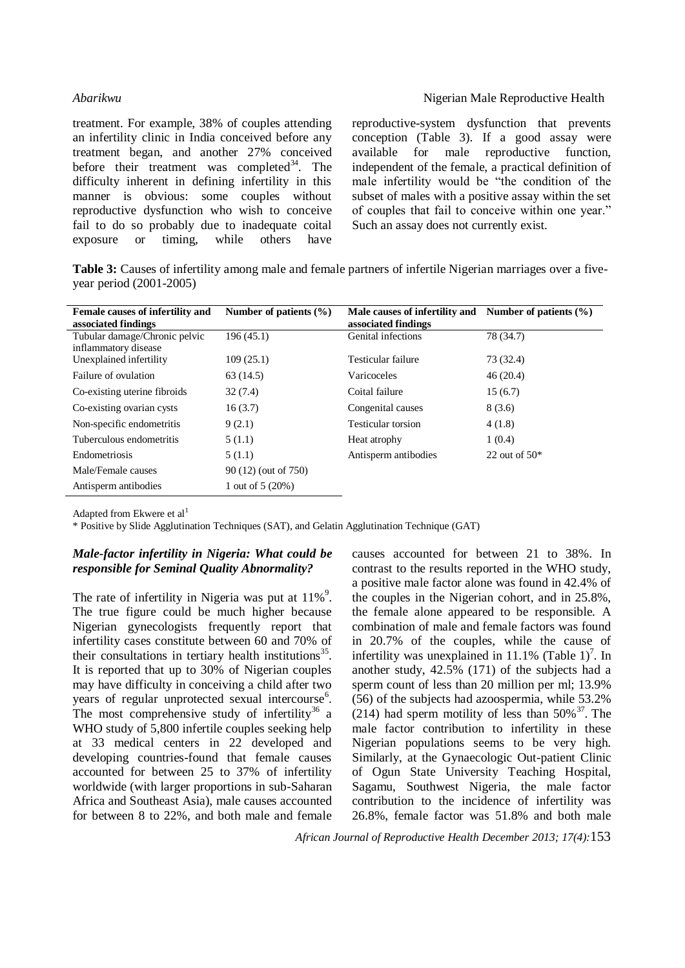treatment. For example, 38% of couples attending an infertility clinic in India conceived before any treatment began, and another 27% conceived before their treatment was completed<sup>34</sup>. The difficulty inherent in defining infertility in this manner is obvious: some couples without reproductive dysfunction who wish to conceive fail to do so probably due to inadequate coital exposure or timing, while others have

reproductive-system dysfunction that prevents conception (Table 3). If a good assay were available for male reproductive function, independent of the female, a practical definition of male infertility would be "the condition of the subset of males with a positive assay within the set of couples that fail to conceive within one year." Such an assay does not currently exist.

**Table 3:** Causes of infertility among male and female partners of infertile Nigerian marriages over a fiveyear period (2001-2005)

| Female causes of infertility and | Number of patients $(\% )$ | Male causes of infertility and | Number of patients $(\% )$ |
|----------------------------------|----------------------------|--------------------------------|----------------------------|
| associated findings              |                            | associated findings            |                            |
| Tubular damage/Chronic pelvic    | 196(45.1)                  | Genital infections             | 78 (34.7)                  |
| inflammatory disease             |                            |                                |                            |
| Unexplained infertility          | 109(25.1)                  | Testicular failure             | 73 (32.4)                  |
| Failure of ovulation             | 63(14.5)                   | Varicoceles                    | 46(20.4)                   |
| Co-existing uterine fibroids     | 32(7.4)                    | Coital failure                 | 15(6.7)                    |
| Co-existing ovarian cysts        | 16(3.7)                    | Congenital causes              | 8(3.6)                     |
| Non-specific endometritis        | 9(2.1)                     | Testicular torsion             | 4(1.8)                     |
| Tuberculous endometritis         | 5(1.1)                     | Heat atrophy                   | 1(0.4)                     |
| Endometriosis                    | 5(1.1)                     | Antisperm antibodies           | 22 out of $50*$            |
| Male/Female causes               | 90 (12) (out of 750)       |                                |                            |
| Antisperm antibodies             | 1 out of 5 (20%)           |                                |                            |

Adapted from Ekwere et al<sup>1</sup>

\* Positive by Slide Agglutination Techniques (SAT), and Gelatin Agglutination Technique (GAT)

# *Male-factor infertility in Nigeria: What could be responsible for Seminal Quality Abnormality?*

The rate of infertility in Nigeria was put at  $11\%$ <sup>9</sup>. The true figure could be much higher because Nigerian gynecologists frequently report that infertility cases constitute between 60 and 70% of their consultations in tertiary health institutions<sup>35</sup>. It is reported that up to 30% of Nigerian couples may have difficulty in conceiving a child after two years of regular unprotected sexual intercourse<sup>6</sup>. The most comprehensive study of infertility<sup>36</sup> a WHO study of 5,800 infertile couples seeking help at 33 medical centers in 22 developed and developing countries-found that female causes accounted for between 25 to 37% of infertility worldwide (with larger proportions in sub-Saharan Africa and Southeast Asia), male causes accounted for between 8 to 22%, and both male and female

causes accounted for between 21 to 38%. In contrast to the results reported in the WHO study, a positive male factor alone was found in 42.4% of the couples in the Nigerian cohort, and in 25.8%, the female alone appeared to be responsible. A combination of male and female factors was found in 20.7% of the couples, while the cause of infertility was unexplained in 11.1% (Table  $1$ )<sup>7</sup>. In another study, 42.5% (171) of the subjects had a sperm count of less than 20 million per ml; 13.9% (56) of the subjects had azoospermia, while 53.2% (214) had sperm motility of less than  $50\%$ <sup>37</sup>. The male factor contribution to infertility in these Nigerian populations seems to be very high. Similarly, at the Gynaecologic Out-patient Clinic of Ogun State University Teaching Hospital, Sagamu, Southwest Nigeria, the male factor contribution to the incidence of infertility was 26.8%, female factor was 51.8% and both male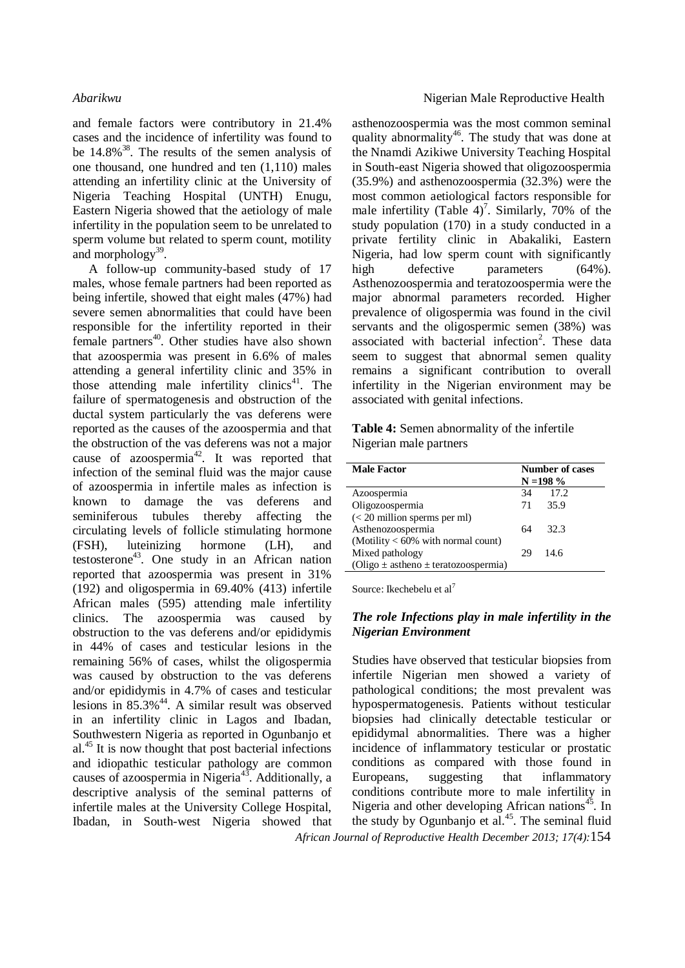and female factors were contributory in 21.4% cases and the incidence of infertility was found to be  $14.8\%$ <sup>38</sup>. The results of the semen analysis of one thousand, one hundred and ten (1,110) males attending an infertility clinic at the University of Nigeria Teaching Hospital (UNTH) Enugu, Eastern Nigeria showed that the aetiology of male infertility in the population seem to be unrelated to sperm volume but related to sperm count, motility and morphology<sup>39</sup>.

A follow-up community-based study of 17 males, whose female partners had been reported as being infertile, showed that eight males (47%) had severe semen abnormalities that could have been responsible for the infertility reported in their female partners<sup>40</sup>. Other studies have also shown that azoospermia was present in 6.6% of males attending a general infertility clinic and 35% in those attending male infertility clinics $41$ . The failure of spermatogenesis and obstruction of the ductal system particularly the vas deferens were reported as the causes of the azoospermia and that the obstruction of the vas deferens was not a major cause of azoospermia<sup>42</sup>. It was reported that infection of the seminal fluid was the major cause of azoospermia in infertile males as infection is known to damage the vas deferens and seminiferous tubules thereby affecting the circulating levels of follicle stimulating hormone (FSH), luteinizing hormone (LH), and testosterone<sup>43</sup>. One study in an African nation reported that azoospermia was present in 31% (192) and oligospermia in 69.40% (413) infertile African males (595) attending male infertility clinics. The azoospermia was caused by obstruction to the vas deferens and/or epididymis in 44% of cases and testicular lesions in the remaining 56% of cases, whilst the oligospermia was caused by obstruction to the vas deferens and/or epididymis in 4.7% of cases and testicular lesions in  $85.3\%$ <sup>44</sup>. A similar result was observed in an infertility clinic in Lagos and Ibadan, Southwestern Nigeria as reported in Ogunbanjo et al.<sup>45</sup> It is now thought that post bacterial infections and idiopathic testicular pathology are common causes of azoospermia in Nigeria<sup>43</sup>. Additionally, a descriptive analysis of the seminal patterns of infertile males at the University College Hospital, Ibadan, in South-west Nigeria showed that

### *Abarikwu* **Nigerian Male Reproductive Health Nigerian Male Reproductive Health**

asthenozoospermia was the most common seminal quality abnormality<sup>46</sup>. The study that was done at the Nnamdi Azikiwe University Teaching Hospital in South-east Nigeria showed that oligozoospermia (35.9%) and asthenozoospermia (32.3%) were the most common aetiological factors responsible for male infertility (Table  $4$ )<sup>7</sup>. Similarly, 70% of the study population (170) in a study conducted in a private fertility clinic in Abakaliki, Eastern Nigeria, had low sperm count with significantly high defective parameters (64%). Asthenozoospermia and teratozoospermia were the major abnormal parameters recorded. Higher prevalence of oligospermia was found in the civil servants and the oligospermic semen (38%) was associated with bacterial infection<sup>2</sup>. These data seem to suggest that abnormal semen quality remains a significant contribution to overall infertility in the Nigerian environment may be associated with genital infections.

**Table 4:** Semen abnormality of the infertile Nigerian male partners

| <b>Male Factor</b>                           | <b>Number of cases</b><br>$N = 198 \%$ |       |
|----------------------------------------------|----------------------------------------|-------|
| Azoospermia                                  | 34                                     | 17.2  |
| Oligozoospermia                              | 71                                     | 35.9  |
| $(< 20$ million sperms per ml)               |                                        |       |
| Asthenozoospermia                            | 64                                     | -32.3 |
| (Motility $< 60\%$ with normal count)        |                                        |       |
| Mixed pathology                              | 29                                     | 14.6  |
| (Oligo $\pm$ astheno $\pm$ teratozoospermia) |                                        |       |

Source: Ikechebelu et al<sup>7</sup>

### *The role Infections play in male infertility in the Nigerian Environment*

Studies have observed that testicular biopsies from infertile Nigerian men showed a variety of pathological conditions; the most prevalent was hypospermatogenesis. Patients without testicular biopsies had clinically detectable testicular or epididymal abnormalities. There was a higher incidence of inflammatory testicular or prostatic conditions as compared with those found in Europeans, suggesting that inflammatory conditions contribute more to male infertility in Nigeria and other developing African nations<sup>45</sup>. In the study by Ogunbanjo et al.<sup>45</sup>. The seminal fluid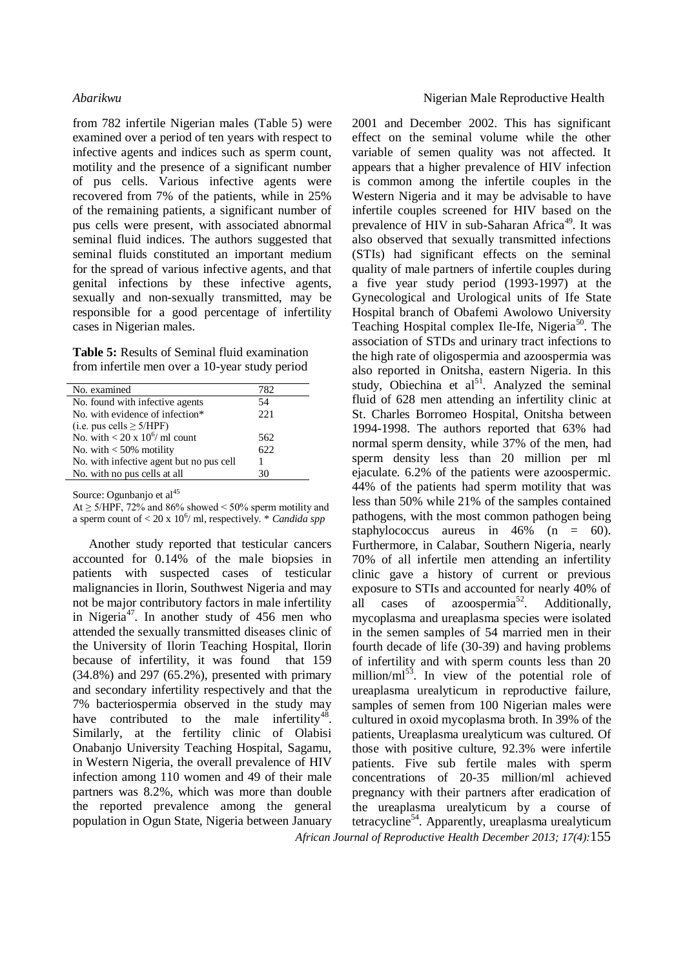from 782 infertile Nigerian males (Table 5) were examined over a period of ten years with respect to infective agents and indices such as sperm count, motility and the presence of a significant number of pus cells. Various infective agents were recovered from 7% of the patients, while in 25% of the remaining patients, a significant number of pus cells were present, with associated abnormal seminal fluid indices. The authors suggested that seminal fluids constituted an important medium for the spread of various infective agents, and that genital infections by these infective agents, sexually and non-sexually transmitted, may be responsible for a good percentage of infertility cases in Nigerian males.

**Table 5:** Results of Seminal fluid examination from infertile men over a 10-year study period

| No. examined                             | 782  |
|------------------------------------------|------|
| No. found with infective agents          | 54   |
| No. with evidence of infection*          | 22.1 |
| (i.e. pus cells $\geq$ 5/HPF)            |      |
| No. with $< 20 \times 10^6$ / ml count   | 562  |
| No. with $<$ 50% motility                | 622  |
| No. with infective agent but no pus cell |      |
| No. with no pus cells at all             | 30   |

Source: Ogunbanjo et al<sup>45</sup>

At  $\geq$  5/HPF, 72% and 86% showed < 50% sperm motility and a sperm count of < 20 x 10<sup>6</sup>/ ml, respectively. \* *Candida spp* 

Another study reported that testicular cancers accounted for 0.14% of the male biopsies in patients with suspected cases of testicular malignancies in Ilorin, Southwest Nigeria and may not be major contributory factors in male infertility in Nigeria<sup>47</sup>. In another study of  $456$  men who attended the sexually transmitted diseases clinic of the University of Ilorin Teaching Hospital, Ilorin because of infertility, it was found that 159 (34.8%) and 297 (65.2%), presented with primary and secondary infertility respectively and that the 7% bacteriospermia observed in the study may have contributed to the male infertility<sup>48</sup>. Similarly, at the fertility clinic of Olabisi Onabanjo University Teaching Hospital, Sagamu, in Western Nigeria, the overall prevalence of HIV infection among 110 women and 49 of their male partners was 8.2%, which was more than double the reported prevalence among the general population in Ogun State, Nigeria between January

*African Journal of Reproductive Health December 2013; 17(4):*155 2001 and December 2002. This has significant effect on the seminal volume while the other variable of semen quality was not affected. It appears that a higher prevalence of HIV infection is common among the infertile couples in the Western Nigeria and it may be advisable to have infertile couples screened for HIV based on the prevalence of HIV in sub-Saharan Africa<sup>49</sup>. It was also observed that sexually transmitted infections (STIs) had significant effects on the seminal quality of male partners of infertile couples during a five year study period (1993-1997) at the Gynecological and Urological units of Ife State Hospital branch of Obafemi Awolowo University Teaching Hospital complex Ile-Ife, Nigeria<sup>50</sup>. The association of STDs and urinary tract infections to the high rate of oligospermia and azoospermia was also reported in Onitsha, eastern Nigeria. In this study, Obiechina et  $al<sup>51</sup>$ . Analyzed the seminal fluid of 628 men attending an infertility clinic at St. Charles Borromeo Hospital, Onitsha between 1994-1998. The authors reported that 63% had normal sperm density, while 37% of the men, had sperm density less than 20 million per ml ejaculate. 6.2% of the patients were azoospermic. 44% of the patients had sperm motility that was less than 50% while 21% of the samples contained pathogens, with the most common pathogen being staphylococcus aureus in 46% (n = 60). Furthermore, in Calabar, Southern Nigeria, nearly 70% of all infertile men attending an infertility clinic gave a history of current or previous exposure to STIs and accounted for nearly 40% of all cases of azoospermia<sup>52</sup>. . Additionally, mycoplasma and ureaplasma species were isolated in the semen samples of 54 married men in their fourth decade of life (30-39) and having problems of infertility and with sperm counts less than 20 million/ $ml^{53}$ . In view of the potential role of ureaplasma urealyticum in reproductive failure, samples of semen from 100 Nigerian males were cultured in oxoid mycoplasma broth. In 39% of the patients, Ureaplasma urealyticum was cultured. Of those with positive culture, 92.3% were infertile patients. Five sub fertile males with sperm concentrations of 20-35 million/ml achieved pregnancy with their partners after eradication of the ureaplasma urealyticum by a course of tetracycline<sup>54</sup>. Apparently, ureaplasma urealyticum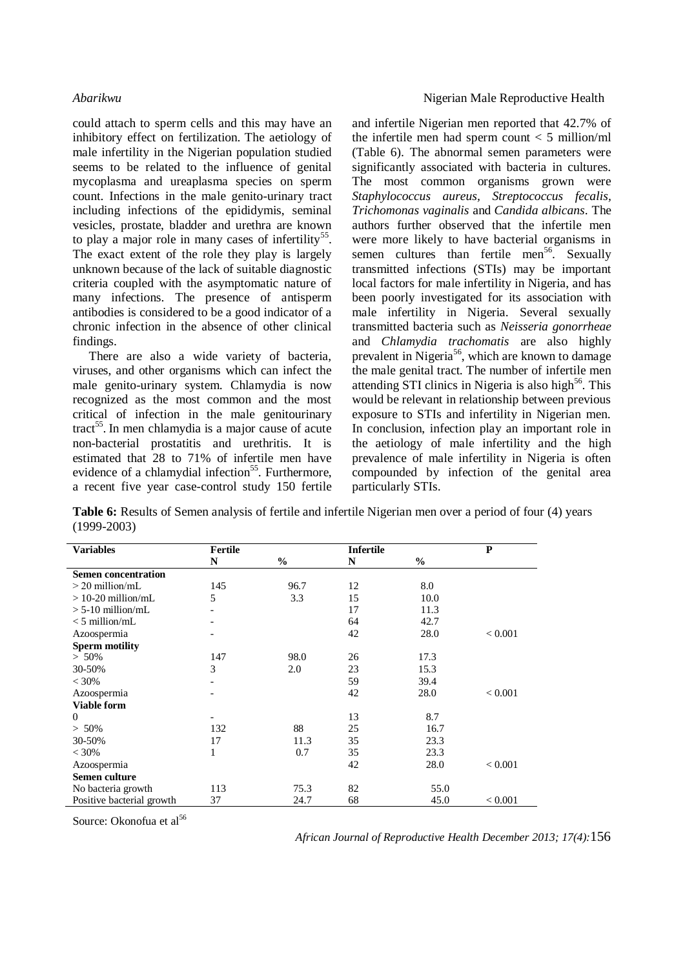could attach to sperm cells and this may have an inhibitory effect on fertilization. The aetiology of male infertility in the Nigerian population studied seems to be related to the influence of genital mycoplasma and ureaplasma species on sperm count. Infections in the male genito-urinary tract including infections of the epididymis, seminal vesicles, prostate, bladder and urethra are known to play a major role in many cases of infertility<sup>55</sup>. The exact extent of the role they play is largely unknown because of the lack of suitable diagnostic criteria coupled with the asymptomatic nature of many infections. The presence of antisperm antibodies is considered to be a good indicator of a chronic infection in the absence of other clinical findings.

There are also a wide variety of bacteria, viruses, and other organisms which can infect the male genito-urinary system. Chlamydia is now recognized as the most common and the most critical of infection in the male genitourinary tract<sup>55</sup>. In men chlamydia is a major cause of acute non-bacterial prostatitis and urethritis. It is estimated that 28 to 71% of infertile men have evidence of a chlamydial infection<sup>55</sup>. Furthermore, a recent five year case-control study 150 fertile

and infertile Nigerian men reported that 42.7% of the infertile men had sperm count  $<$  5 million/ml (Table 6). The abnormal semen parameters were significantly associated with bacteria in cultures. The most common organisms grown were *Staphylococcus aureus, Streptococcus fecalis, Trichomonas vaginalis* and *Candida albicans*. The authors further observed that the infertile men were more likely to have bacterial organisms in semen cultures than fertile men<sup>56</sup>. Sexually transmitted infections (STIs) may be important local factors for male infertility in Nigeria, and has been poorly investigated for its association with male infertility in Nigeria. Several sexually transmitted bacteria such as *Neisseria gonorrheae* and *Chlamydia trachomatis* are also highly prevalent in Nigeria<sup>56</sup>, which are known to damage the male genital tract. The number of infertile men attending STI clinics in Nigeria is also high $56$ . This would be relevant in relationship between previous exposure to STIs and infertility in Nigerian men. In conclusion, infection play an important role in the aetiology of male infertility and the high prevalence of male infertility in Nigeria is often compounded by infection of the genital area particularly STIs.

**Table 6:** Results of Semen analysis of fertile and infertile Nigerian men over a period of four (4) years (1999-2003)

| <b>Variables</b>           | Fertile        |               | <b>Infertile</b> |               | ${\bf P}$ |
|----------------------------|----------------|---------------|------------------|---------------|-----------|
|                            | N              | $\frac{0}{0}$ | N                | $\frac{0}{0}$ |           |
| <b>Semen concentration</b> |                |               |                  |               |           |
| $>$ 20 million/mL          | 145            | 96.7          | 12               | 8.0           |           |
| $>$ 10-20 million/mL       | 5              | 3.3           | 15               | 10.0          |           |
| $> 5-10$ million/mL        |                |               | 17               | 11.3          |           |
| $<$ 5 million/mL           |                |               | 64               | 42.7          |           |
| Azoospermia                |                |               | 42               | 28.0          | < 0.001   |
| <b>Sperm motility</b>      |                |               |                  |               |           |
| $> 50\%$                   | 147            | 98.0          | 26               | 17.3          |           |
| 30-50%                     | 3              | 2.0           | 23               | 15.3          |           |
| < 30%                      | $\overline{a}$ |               | 59               | 39.4          |           |
| Azoospermia                |                |               | 42               | 28.0          | < 0.001   |
| <b>Viable form</b>         |                |               |                  |               |           |
| $\Omega$                   |                |               | 13               | 8.7           |           |
| $> 50\%$                   | 132            | 88            | 25               | 16.7          |           |
| 30-50%                     | 17             | 11.3          | 35               | 23.3          |           |
| $< 30\%$                   | 1              | 0.7           | 35               | 23.3          |           |
| Azoospermia                |                |               | 42               | 28.0          | < 0.001   |
| Semen culture              |                |               |                  |               |           |
| No bacteria growth         | 113            | 75.3          | 82               | 55.0          |           |
| Positive bacterial growth  | 37             | 24.7          | 68               | 45.0          | < 0.001   |

Source: Okonofua et al<sup>56</sup>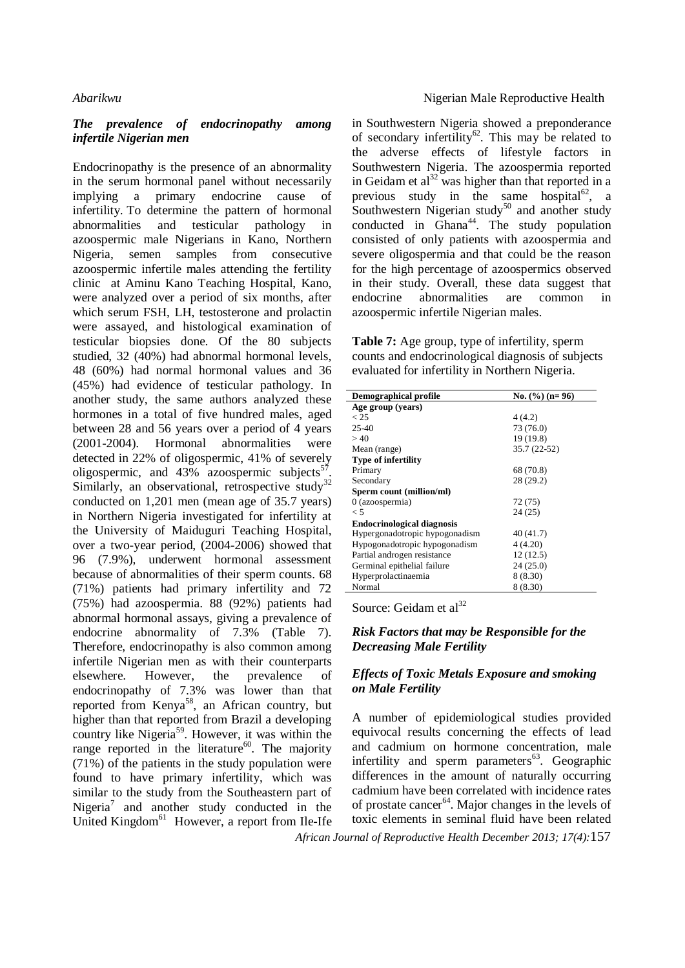### *The prevalence of endocrinopathy among infertile Nigerian men*

Endocrinopathy is the presence of an abnormality in the serum hormonal panel without necessarily implying a primary endocrine cause of infertility. To determine the pattern of hormonal abnormalities and testicular pathology in azoospermic male Nigerians in Kano, Northern Nigeria, semen samples from consecutive azoospermic infertile males attending the fertility clinic at Aminu Kano Teaching Hospital, Kano, were analyzed over a period of six months, after which serum FSH, LH, testosterone and prolactin were assayed, and histological examination of testicular biopsies done. Of the 80 subjects studied, 32 (40%) had abnormal hormonal levels, 48 (60%) had normal hormonal values and 36 (45%) had evidence of testicular pathology. In another study, the same authors analyzed these hormones in a total of five hundred males, aged between 28 and 56 years over a period of 4 years (2001-2004). Hormonal abnormalities were detected in 22% of oligospermic, 41% of severely oligospermic, and  $43\%$  azoospermic subjects<sup>5</sup> . Similarly, an observational, retrospective study<sup>32</sup> conducted on 1,201 men (mean age of 35.7 years) in Northern Nigeria investigated for infertility at the University of Maiduguri Teaching Hospital, over a two-year period, (2004-2006) showed that 96 (7.9%), underwent hormonal assessment because of abnormalities of their sperm counts. 68 (71%) patients had primary infertility and 72 (75%) had azoospermia. 88 (92%) patients had abnormal hormonal assays, giving a prevalence of endocrine abnormality of 7.3% (Table 7). Therefore, endocrinopathy is also common among infertile Nigerian men as with their counterparts elsewhere. However, the prevalence of endocrinopathy of 7.3% was lower than that reported from Kenya<sup>58</sup>, an African country, but higher than that reported from Brazil a developing country like Nigeria<sup>59</sup>. However, it was within the range reported in the literature<sup>60</sup>. The majority (71%) of the patients in the study population were found to have primary infertility, which was similar to the study from the Southeastern part of Nigeria<sup>7</sup> and another study conducted in the United Kingdom<sup>61</sup> However, a report from Ile-Ife in Southwestern Nigeria showed a preponderance of secondary infertility<sup>62</sup>. This may be related to the adverse effects of lifestyle factors in Southwestern Nigeria. The azoospermia reported in Geidam et  $al<sup>32</sup>$  was higher than that reported in a previous study in the same hospital<sup>62</sup>, a Southwestern Nigerian study<sup>50</sup> and another study conducted in Ghana<sup>44</sup>. The study population consisted of only patients with azoospermia and severe oligospermia and that could be the reason for the high percentage of azoospermics observed in their study. Overall, these data suggest that endocrine abnormalities are common in azoospermic infertile Nigerian males.

**Table 7:** Age group, type of infertility, sperm counts and endocrinological diagnosis of subjects evaluated for infertility in Northern Nigeria.

| <b>Demographical profile</b>      | No. $(\frac{6}{10})$ (n= 96) |
|-----------------------------------|------------------------------|
| Age group (years)                 |                              |
| < 25                              | 4(4.2)                       |
| $25-40$                           | 73 (76.0)                    |
| >40                               | 19 (19.8)                    |
| Mean (range)                      | 35.7 (22-52)                 |
| <b>Type of infertility</b>        |                              |
| Primary                           | 68 (70.8)                    |
| Secondary                         | 28 (29.2)                    |
| Sperm count (million/ml)          |                              |
| 0 (azoospermia)                   | 72 (75)                      |
| $\leq 5$                          | 24 (25)                      |
| <b>Endocrinological diagnosis</b> |                              |
| Hypergonadotropic hypogonadism    | 40 (41.7)                    |
| Hypogonadotropic hypogonadism     | 4(4.20)                      |
| Partial androgen resistance       | 12(12.5)                     |
| Germinal epithelial failure       | 24 (25.0)                    |
| Hyperprolactinaemia               | 8 (8.30)                     |
| Normal                            | 8 (8.30)                     |

Source: Geidam et al<sup>32</sup>

### *Risk Factors that may be Responsible for the Decreasing Male Fertility*

### *Effects of Toxic Metals Exposure and smoking on Male Fertility*

A number of epidemiological studies provided equivocal results concerning the effects of lead and cadmium on hormone concentration, male infertility and sperm parameters <sup>63</sup>. Geographic differences in the amount of naturally occurring cadmium have been correlated with incidence rates of prostate cancer<sup>64</sup>. Major changes in the levels of toxic elements in seminal fluid have been related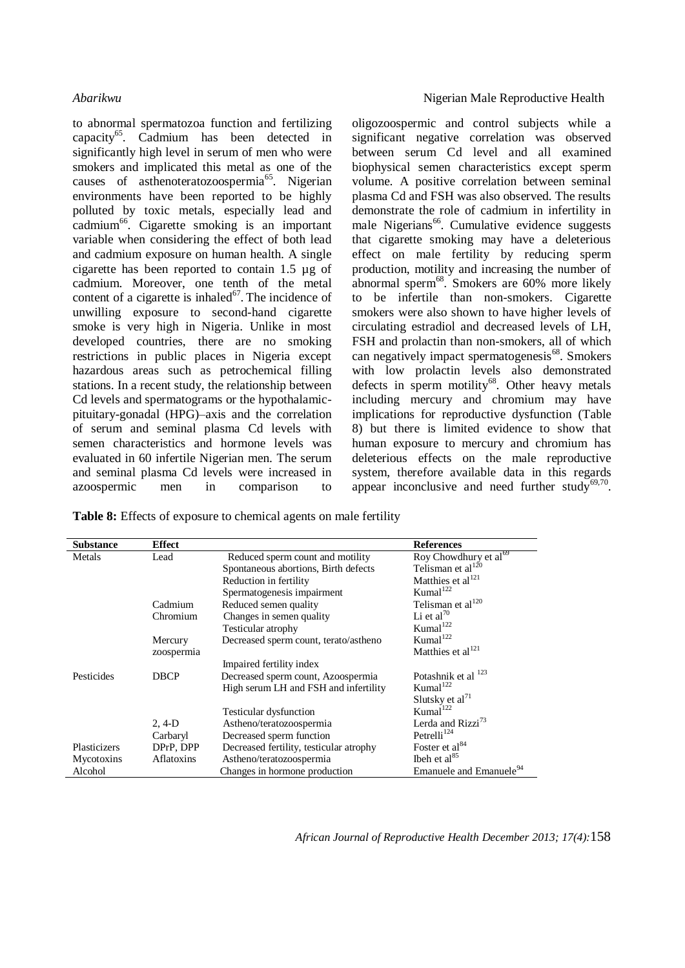to abnormal spermatozoa function and fertilizing capacity<sup>65</sup>. Cadmium has been detected in significantly high level in serum of men who were smokers and implicated this metal as one of the causes of asthenoteratozoospermia<sup>65</sup>. Nigerian environments have been reported to be highly polluted by toxic metals, especially lead and cadmium<sup>66</sup>. Cigarette smoking is an important variable when considering the effect of both lead and cadmium exposure on human health. A single cigarette has been reported to contain 1.5 µg of cadmium. Moreover, one tenth of the metal content of a cigarette is inhaled $67$ . The incidence of unwilling exposure to second-hand cigarette smoke is very high in Nigeria. Unlike in most developed countries, there are no smoking restrictions in public places in Nigeria except hazardous areas such as petrochemical filling stations. In a recent study, the relationship between Cd levels and spermatograms or the hypothalamicpituitary-gonadal (HPG)–axis and the correlation of serum and seminal plasma Cd levels with semen characteristics and hormone levels was evaluated in 60 infertile Nigerian men. The serum and seminal plasma Cd levels were increased in azoospermic men in comparison to

oligozoospermic and control subjects while a significant negative correlation was observed between serum Cd level and all examined biophysical semen characteristics except sperm volume. A positive correlation between seminal plasma Cd and FSH was also observed. The results demonstrate the role of cadmium in infertility in male Nigerians<sup>66</sup>. Cumulative evidence suggests that cigarette smoking may have a deleterious effect on male fertility by reducing sperm production, motility and increasing the number of abnormal sperm<sup>68</sup>. Smokers are 60% more likely to be infertile than non-smokers. Cigarette smokers were also shown to have higher levels of circulating estradiol and decreased levels of LH, FSH and prolactin than non-smokers, all of which can negatively impact spermatogenesis<sup>68</sup>. Smokers with low prolactin levels also demonstrated defects in sperm motility<sup>68</sup>. Other heavy metals including mercury and chromium may have implications for reproductive dysfunction (Table 8) but there is limited evidence to show that human exposure to mercury and chromium has deleterious effects on the male reproductive system, therefore available data in this regards appear inconclusive and need further study $69,70$ .

**Table 8:** Effects of exposure to chemical agents on male fertility

| <b>Substance</b> | <b>Effect</b> |                                         | <b>References</b>                   |
|------------------|---------------|-----------------------------------------|-------------------------------------|
| Metals           | Lead          | Reduced sperm count and motility        | Roy Chowdhury et al <sup>69</sup>   |
|                  |               | Spontaneous abortions, Birth defects    | Telisman et al $^{120}$             |
|                  |               | Reduction in fertility                  | Matthies et al <sup>121</sup>       |
|                  |               | Spermatogenesis impairment              | Kumal <sup>122</sup>                |
|                  | Cadmium       | Reduced semen quality                   | Telisman et al $^{120}$             |
|                  | Chromium      | Changes in semen quality                | Li et al <sup>70</sup>              |
|                  |               | Testicular atrophy                      | Kumal <sup>122</sup>                |
|                  | Mercury       | Decreased sperm count, terato/astheno   | Kumal $122$                         |
|                  | zoospermia    |                                         | Matthies et al <sup>121</sup>       |
|                  |               | Impaired fertility index                |                                     |
| Pesticides       | <b>DBCP</b>   | Decreased sperm count, Azoospermia      | Potashnik et al <sup>123</sup>      |
|                  |               | High serum LH and FSH and infertility   | Kumal <sup>122</sup>                |
|                  |               |                                         | Slutsky et al $^{71}$               |
|                  |               | Testicular dysfunction                  | Kumal <sup>122</sup>                |
|                  | $2, 4-D$      | Astheno/teratozoospermia                | Lerda and Rizzi <sup>73</sup>       |
|                  | Carbaryl      | Decreased sperm function                | Petrelli <sup>124</sup>             |
| Plasticizers     | DPrP, DPP     | Decreased fertility, testicular atrophy | Foster et al <sup>84</sup>          |
| Mycotoxins       | Aflatoxins    | Astheno/teratozoospermia                | Then et al $85$                     |
| Alcohol          |               | Changes in hormone production           | Emanuele and Emanuele <sup>94</sup> |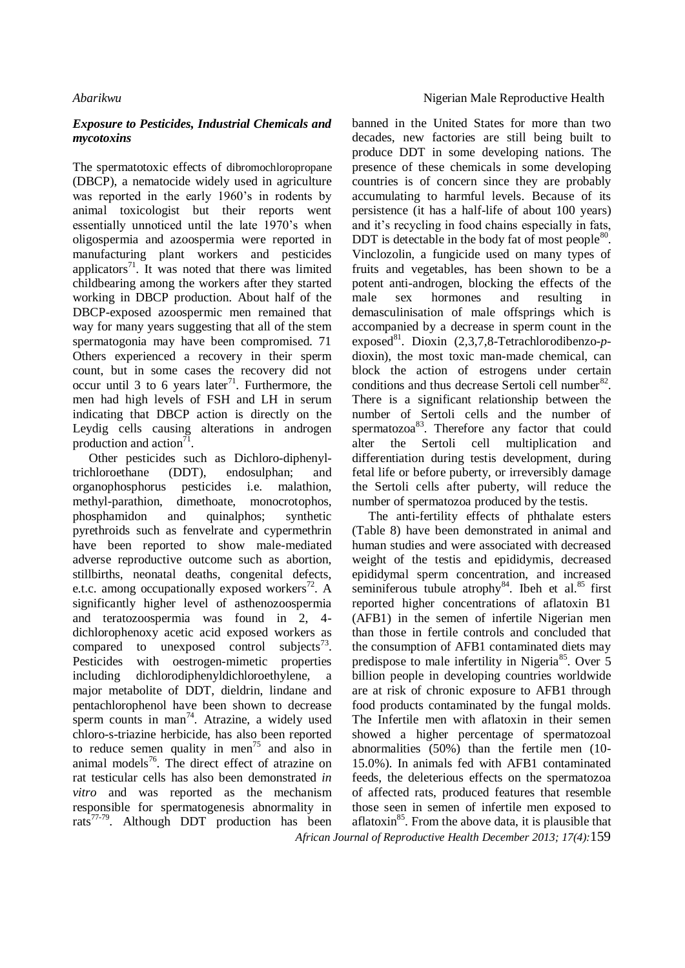### *Exposure to Pesticides, Industrial Chemicals and mycotoxins*

The spermatotoxic effects of dibromochloropropane (DBCP), a nematocide widely used in agriculture was reported in the early 1960's in rodents by animal toxicologist but their reports went essentially unnoticed until the late 1970's when oligospermia and azoospermia were reported in manufacturing plant workers and pesticides applicators $71$ . It was noted that there was limited childbearing among the workers after they started working in DBCP production. About half of the DBCP-exposed azoospermic men remained that way for many years suggesting that all of the stem spermatogonia may have been compromised. 71 Others experienced a recovery in their sperm count, but in some cases the recovery did not occur until 3 to 6 years later<sup>71</sup>. Furthermore, the men had high levels of FSH and LH in serum indicating that DBCP action is directly on the Leydig cells causing alterations in androgen production and action $^{71}$ .

Other pesticides such as Dichloro-diphenyltrichloroethane (DDT), endosulphan; and organophosphorus pesticides i.e. malathion, methyl-parathion, dimethoate, monocrotophos, phosphamidon and quinalphos; synthetic pyrethroids such as fenvelrate and cypermethrin have been reported to show male-mediated adverse reproductive outcome such as abortion, stillbirths, neonatal deaths, congenital defects, e.t.c. among occupationally exposed workers<sup>72</sup>. A significantly higher level of asthenozoospermia and teratozoospermia was found in 2, 4 dichlorophenoxy acetic acid exposed workers as compared to unexposed control subjects<sup>73</sup>. Pesticides with oestrogen-mimetic properties including dichlorodiphenyldichloroethylene, a major metabolite of DDT, dieldrin, lindane and pentachlorophenol have been shown to decrease sperm counts in man<sup>74</sup>. Atrazine, a widely used chloro-s-triazine herbicide, has also been reported to reduce semen quality in men<sup>75</sup> and also in animal models<sup>76</sup>. The direct effect of atrazine on rat testicular cells has also been demonstrated *in vitro* and was reported as the mechanism responsible for spermatogenesis abnormality in rats<sup>77-79</sup>. Although DDT production has been

banned in the United States for more than two decades, new factories are still being built to produce DDT in some developing nations. The presence of these chemicals in some developing countries is of concern since they are probably accumulating to harmful levels. Because of its persistence (it has a half-life of about 100 years) and it's recycling in food chains especially in fats, DDT is detectable in the body fat of most people $^{80}$ . Vinclozolin, a fungicide used on many types of fruits and vegetables, has been shown to be a potent anti-androgen, blocking the effects of the male sex hormones and resulting in demasculinisation of male offsprings which is accompanied by a decrease in sperm count in the exposed<sup>81</sup>. Dioxin (2,3,7,8-Tetrachlorodibenzo-pdioxin), the most toxic man-made chemical, can block the action of estrogens under certain conditions and thus decrease Sertoli cell number  $82$ . There is a significant relationship between the number of Sertoli cells and the number of spermatozoa<sup>83</sup>. Therefore any factor that could alter the Sertoli cell multiplication and differentiation during testis development, during fetal life or before puberty, or irreversibly damage the Sertoli cells after puberty, will reduce the number of spermatozoa produced by the testis.

The anti-fertility effects of phthalate esters (Table 8) have been demonstrated in animal and human studies and were associated with decreased weight of the testis and epididymis, decreased epididymal sperm concentration, and increased seminiferous tubule atrophy<sup>84</sup>. Ibeh et al.<sup>85</sup> first reported higher concentrations of aflatoxin B1 (AFB1) in the semen of infertile Nigerian men than those in fertile controls and concluded that the consumption of AFB1 contaminated diets may predispose to male infertility in Nigeria<sup>85</sup>. Over 5 billion people in developing countries worldwide are at risk of chronic exposure to AFB1 through food products contaminated by the fungal molds. The Infertile men with aflatoxin in their semen showed a higher percentage of spermatozoal abnormalities (50%) than the fertile men (10- 15.0%). In animals fed with AFB1 contaminated feeds, the deleterious effects on the spermatozoa of affected rats, produced features that resemble those seen in semen of infertile men exposed to aflatoxin $85$ . From the above data, it is plausible that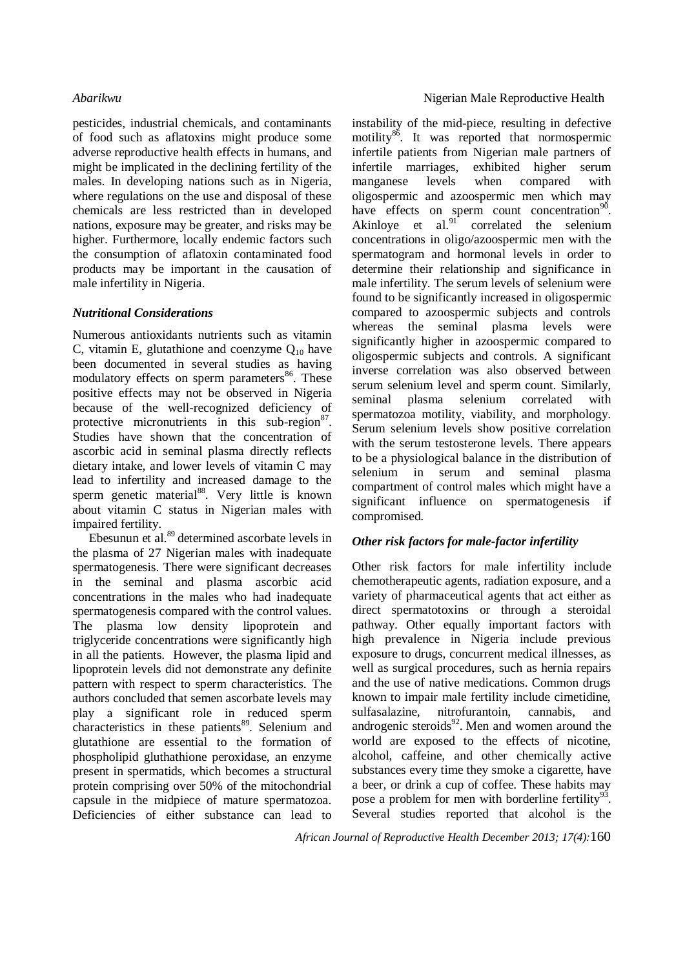pesticides, industrial chemicals, and contaminants of food such as aflatoxins might produce some adverse reproductive health effects in humans, and might be implicated in the declining fertility of the males. In developing nations such as in Nigeria, where regulations on the use and disposal of these chemicals are less restricted than in developed nations, exposure may be greater, and risks may be higher. Furthermore, locally endemic factors such the consumption of aflatoxin contaminated food products may be important in the causation of male infertility in Nigeria.

### *Nutritional Considerations*

Numerous antioxidants nutrients such as vitamin C, vitamin E, glutathione and coenzyme  $Q_{10}$  have been documented in several studies as having modulatory effects on sperm parameters<sup>86</sup>. These positive effects may not be observed in Nigeria because of the well-recognized deficiency of protective micronutrients in this sub-region $87$ . Studies have shown that the concentration of ascorbic acid in seminal plasma directly reflects dietary intake, and lower levels of vitamin C may lead to infertility and increased damage to the sperm genetic material<sup>88</sup>. Very little is known about vitamin C status in Nigerian males with impaired fertility.

Ebesunun et al. <sup>89</sup> determined ascorbate levels in the plasma of 27 Nigerian males with inadequate spermatogenesis. There were significant decreases in the seminal and plasma ascorbic acid concentrations in the males who had inadequate spermatogenesis compared with the control values. The plasma low density lipoprotein and triglyceride concentrations were significantly high in all the patients. However, the plasma lipid and lipoprotein levels did not demonstrate any definite pattern with respect to sperm characteristics. The authors concluded that semen ascorbate levels may play a significant role in reduced sperm characteristics in these patients<sup>89</sup>. Selenium and glutathione are essential to the formation of phospholipid gluthathione peroxidase, an enzyme present in spermatids, which becomes a structural protein comprising over 50% of the mitochondrial capsule in the midpiece of mature spermatozoa. Deficiencies of either substance can lead to

instability of the mid-piece, resulting in defective motility<sup>86</sup>. It was reported that normospermic infertile patients from Nigerian male partners of infertile marriages, exhibited higher serum manganese levels when compared with oligospermic and azoospermic men which may have effects on sperm count concentration<sup>90</sup>. Akinloye et  $a!^{91}$  correlated the selenium concentrations in oligo/azoospermic men with the spermatogram and hormonal levels in order to determine their relationship and significance in male infertility. The serum levels of selenium were found to be significantly increased in oligospermic compared to azoospermic subjects and controls whereas the seminal plasma levels were significantly higher in azoospermic compared to oligospermic subjects and controls. A significant inverse correlation was also observed between serum selenium level and sperm count. Similarly, seminal plasma selenium correlated with spermatozoa motility, viability, and morphology. Serum selenium levels show positive correlation with the serum testosterone levels. There appears to be a physiological balance in the distribution of selenium in serum and seminal plasma compartment of control males which might have a significant influence on spermatogenesis if compromised.

# *Other risk factors for male-factor infertility*

Other risk factors for male infertility include chemotherapeutic agents, radiation exposure, and a variety of pharmaceutical agents that act either as direct spermatotoxins or through a steroidal pathway. Other equally important factors with high prevalence in Nigeria include previous exposure to drugs, concurrent medical illnesses, as well as surgical procedures, such as hernia repairs and the use of native medications. Common drugs known to impair male fertility include cimetidine, sulfasalazine, nitrofurantoin, cannabis, and androgenic steroids $92$ . Men and women around the world are exposed to the effects of nicotine, alcohol, caffeine, and other chemically active substances every time they smoke a cigarette, have a beer, or drink a cup of coffee. These habits may pose a problem for men with borderline fertility<sup>93</sup>. Several studies reported that alcohol is the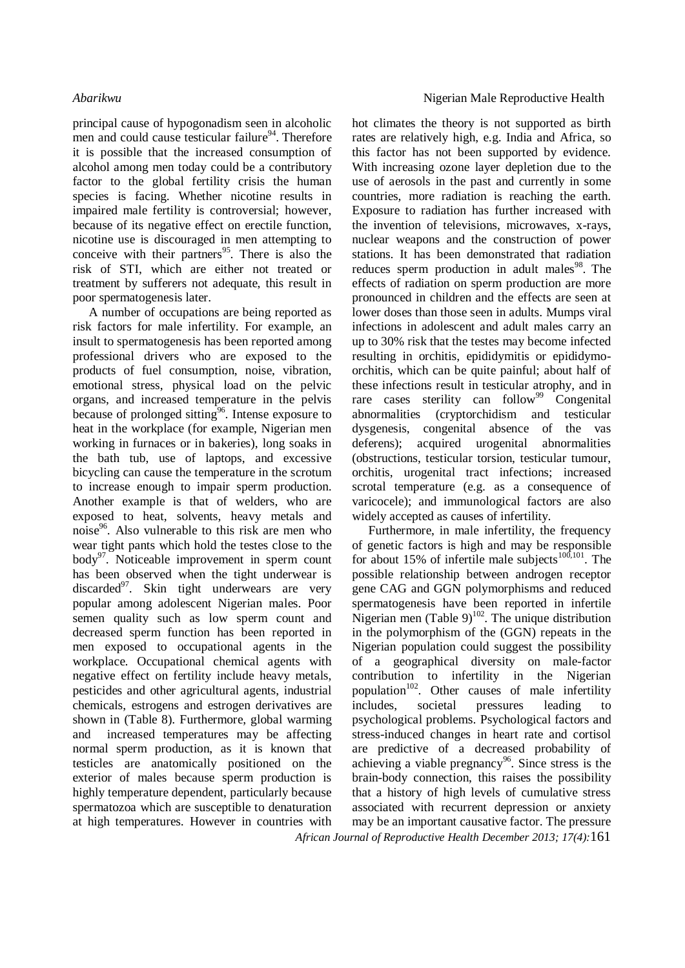principal cause of hypogonadism seen in alcoholic men and could cause testicular failure<sup>94</sup>. Therefore it is possible that the increased consumption of alcohol among men today could be a contributory factor to the global fertility crisis the human species is facing. Whether nicotine results in impaired male fertility is controversial; however, because of its negative effect on erectile function, nicotine use is discouraged in men attempting to conceive with their partners<sup>95</sup>. There is also the risk of STI, which are either not treated or treatment by sufferers not adequate, this result in poor spermatogenesis later.

A number of occupations are being reported as risk factors for male infertility. For example, an insult to spermatogenesis has been reported among professional drivers who are exposed to the products of fuel consumption, noise, vibration, emotional stress, physical load on the pelvic organs, and increased temperature in the pelvis because of prolonged sitting<sup>96</sup>. Intense exposure to heat in the workplace (for example, Nigerian men working in furnaces or in bakeries), long soaks in the bath tub, use of laptops, and excessive bicycling can cause the temperature in the scrotum to increase enough to impair sperm production. Another example is that of welders, who are exposed to heat, solvents, heavy metals and noise<sup>96</sup>. Also vulnerable to this risk are men who wear tight pants which hold the testes close to the body<sup>97</sup>. Noticeable improvement in sperm count has been observed when the tight underwear is discarded $97$ . Skin tight underwears are very popular among adolescent Nigerian males. Poor semen quality such as low sperm count and decreased sperm function has been reported in men exposed to occupational agents in the workplace. Occupational chemical agents with negative effect on fertility include heavy metals, pesticides and other agricultural agents, industrial chemicals, estrogens and estrogen derivatives are shown in (Table 8). Furthermore, global warming and increased temperatures may be affecting normal sperm production, as it is known that testicles are anatomically positioned on the exterior of males because sperm production is highly temperature dependent, particularly because spermatozoa which are susceptible to denaturation at high temperatures. However in countries with

hot climates the theory is not supported as birth rates are relatively high, e.g. India and Africa, so this factor has not been supported by evidence. With increasing ozone layer depletion due to the use of aerosols in the past and currently in some countries, more radiation is reaching the earth. Exposure to radiation has further increased with the invention of televisions, microwaves, x-rays, nuclear weapons and the construction of power stations. It has been demonstrated that radiation reduces sperm production in adult males<sup>98</sup>. The effects of radiation on sperm production are more pronounced in children and the effects are seen at lower doses than those seen in adults. Mumps viral infections in adolescent and adult males carry an up to 30% risk that the testes may become infected resulting in orchitis, epididymitis or epididymoorchitis, which can be quite painful; about half of these infections result in testicular atrophy, and in rare cases sterility can follow<sup>99</sup> Congenital abnormalities (cryptorchidism and testicular dysgenesis, congenital absence of the vas deferens); acquired urogenital abnormalities (obstructions, testicular torsion, testicular tumour, orchitis, urogenital tract infections; increased scrotal temperature (e.g. as a consequence of varicocele); and immunological factors are also widely accepted as causes of infertility.

Furthermore, in male infertility, the frequency of genetic factors is high and may be responsible for about 15% of infertile male subjects<sup>100,101</sup>. The possible relationship between androgen receptor gene CAG and GGN polymorphisms and reduced spermatogenesis have been reported in infertile Nigerian men (Table  $9)^{102}$ . The unique distribution in the polymorphism of the (GGN) repeats in the Nigerian population could suggest the possibility of a geographical diversity on male-factor contribution to infertility in the Nigerian population<sup>102</sup>. Other causes of male infertility includes, societal pressures leading to psychological problems. Psychological factors and stress-induced changes in heart rate and cortisol are predictive of a decreased probability of achieving a viable pregnancy<sup>96</sup>. Since stress is the brain-body connection, this raises the possibility that a history of high levels of cumulative stress associated with recurrent depression or anxiety may be an important causative factor. The pressure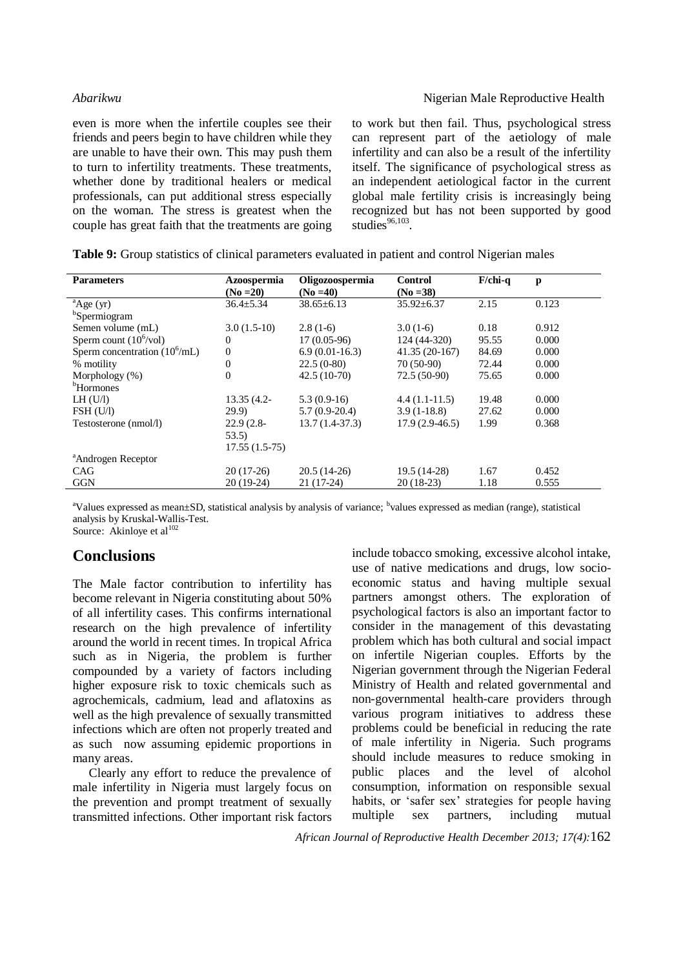### *Abarikwu* **Nigerian Male Reproductive Health**

even is more when the infertile couples see their friends and peers begin to have children while they are unable to have their own. This may push them to turn to infertility treatments. These treatments, whether done by traditional healers or medical professionals, can put additional stress especially on the woman. The stress is greatest when the couple has great faith that the treatments are going

to work but then fail. Thus, psychological stress can represent part of the aetiology of male infertility and can also be a result of the infertility itself. The significance of psychological stress as an independent aetiological factor in the current global male fertility crisis is increasingly being recognized but has not been supported by good studies $96,103$ .

| <b>Parameters</b>                       | Azoospermia     | Oligozoospermia  | <b>Control</b>   | $F$ /chi-q | $\mathbf{p}$ |
|-----------------------------------------|-----------------|------------------|------------------|------------|--------------|
|                                         | $(No = 20)$     | $(No = 40)$      | $(No = 38)$      |            |              |
| $A$ ge (yr)                             | $36.4 \pm 5.34$ | $38.65 \pm 6.13$ | $35.92 \pm 6.37$ | 2.15       | 0.123        |
| <sup>b</sup> Spermiogram                |                 |                  |                  |            |              |
| Semen volume (mL)                       | $3.0(1.5-10)$   | $2.8(1-6)$       | $3.0(1-6)$       | 0.18       | 0.912        |
| Sperm count $(10^6/\text{vol})$         | $\theta$        | $17(0.05-96)$    | 124 (44-320)     | 95.55      | 0.000        |
| Sperm concentration $(10^6 \text{/mL})$ | $\theta$        | $6.9(0.01-16.3)$ | $41.35(20-167)$  | 84.69      | 0.000        |
| % motility                              | $\overline{0}$  | $22.5(0-80)$     | 70 (50-90)       | 72.44      | 0.000        |
| Morphology (%)                          | $\theta$        | $42.5(10-70)$    | $72.5(50-90)$    | 75.65      | 0.000        |
| <sup>b</sup> Hormones                   |                 |                  |                  |            |              |
| LH (U/I)                                | $13.35(4.2 -$   | $5.3(0.9-16)$    | $4.4(1.1-11.5)$  | 19.48      | 0.000        |
| FSH (U/I)                               | 29.9            | $5.7(0.9-20.4)$  | $3.9(1-18.8)$    | 27.62      | 0.000        |
| Testosterone (nmol/l)                   | $22.9(2.8-$     | $13.7(1.4-37.3)$ | $17.9(2.9-46.5)$ | 1.99       | 0.368        |
|                                         | 53.5            |                  |                  |            |              |
|                                         | $17.55(1.5-75)$ |                  |                  |            |              |
| <sup>a</sup> Androgen Receptor          |                 |                  |                  |            |              |
| CAG                                     | $20(17-26)$     | $20.5(14-26)$    | 19.5 (14-28)     | 1.67       | 0.452        |
| <b>GGN</b>                              | $20(19-24)$     | $21(17-24)$      | $20(18-23)$      | 1.18       | 0.555        |
|                                         |                 |                  |                  |            |              |

**Table 9:** Group statistics of clinical parameters evaluated in patient and control Nigerian males

<sup>a</sup>Values expressed as mean±SD, statistical analysis by analysis of variance; <sup>b</sup>values expressed as median (range), statistical analysis by Kruskal-Wallis-Test.

Source: Akinloye et al<sup>102</sup>

# **Conclusions**

The Male factor contribution to infertility has become relevant in Nigeria constituting about 50% of all infertility cases. This confirms international research on the high prevalence of infertility around the world in recent times. In tropical Africa such as in Nigeria, the problem is further compounded by a variety of factors including higher exposure risk to toxic chemicals such as agrochemicals, cadmium, lead and aflatoxins as well as the high prevalence of sexually transmitted infections which are often not properly treated and as such now assuming epidemic proportions in many areas.

Clearly any effort to reduce the prevalence of male infertility in Nigeria must largely focus on the prevention and prompt treatment of sexually transmitted infections. Other important risk factors

include tobacco smoking, excessive alcohol intake, use of native medications and drugs, low socioeconomic status and having multiple sexual partners amongst others. The exploration of psychological factors is also an important factor to consider in the management of this devastating problem which has both cultural and social impact on infertile Nigerian couples. Efforts by the Nigerian government through the Nigerian Federal Ministry of Health and related governmental and non-governmental health-care providers through various program initiatives to address these problems could be beneficial in reducing the rate of male infertility in Nigeria. Such programs should include measures to reduce smoking in public places and the level of alcohol consumption, information on responsible sexual habits, or 'safer sex' strategies for people having multiple sex partners, including mutual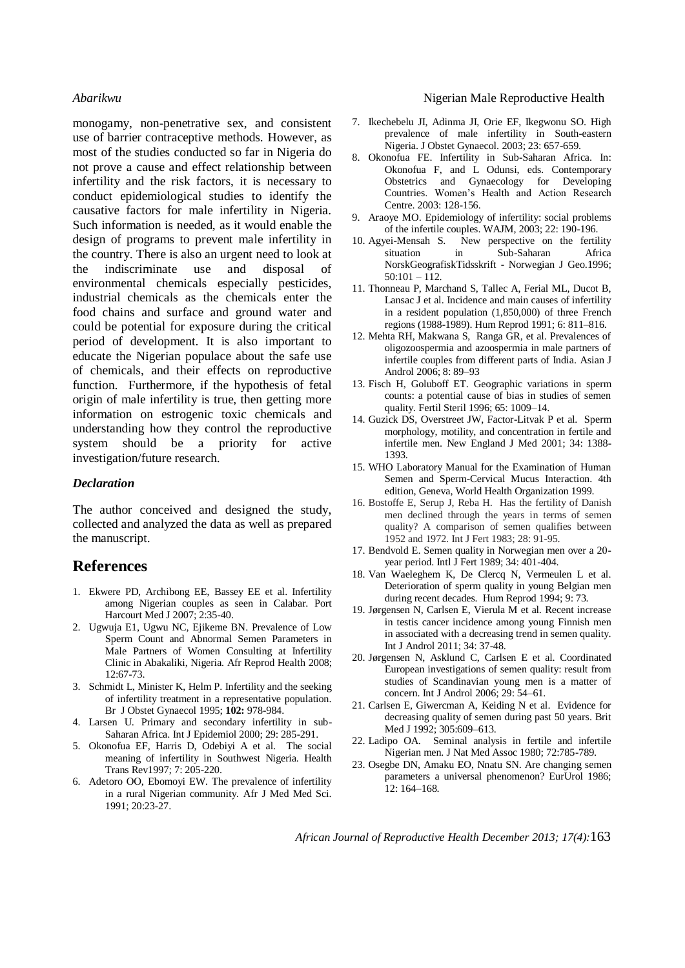monogamy, non-penetrative sex, and consistent use of barrier contraceptive methods. However, as most of the studies conducted so far in Nigeria do not prove a cause and effect relationship between infertility and the risk factors, it is necessary to conduct epidemiological studies to identify the causative factors for male infertility in Nigeria. Such information is needed, as it would enable the design of programs to prevent male infertility in the country. There is also an urgent need to look at the indiscriminate use and disposal of environmental chemicals especially pesticides, industrial chemicals as the chemicals enter the food chains and surface and ground water and could be potential for exposure during the critical period of development. It is also important to educate the Nigerian populace about the safe use of chemicals, and their effects on reproductive function. Furthermore, if the hypothesis of fetal origin of male infertility is true, then getting more information on estrogenic toxic chemicals and understanding how they control the reproductive system should be a priority for active investigation/future research.

### *Declaration*

The author conceived and designed the study, collected and analyzed the data as well as prepared the manuscript.

# **References**

- 1. Ekwere PD, Archibong EE, Bassey EE et al. Infertility among Nigerian couples as seen in Calabar. Port Harcourt Med J 2007; 2:35-40.
- 2. Ugwuja E1, Ugwu NC, Ejikeme BN. Prevalence of Low Sperm Count and Abnormal Semen Parameters in Male Partners of Women Consulting at Infertility Clinic in Abakaliki, Nigeria. Afr Reprod Health 2008; 12:67-73.
- 3. Schmidt L, Minister K, Helm P. Infertility and the seeking of infertility treatment in a representative population. Br J Obstet Gynaecol 1995; **102:** 978-984.
- 4. Larsen U. Primary and secondary infertility in sub-Saharan Africa. Int J Epidemiol 2000; 29: 285-291.
- 5. Okonofua EF, Harris D, Odebiyi A et al. The social meaning of infertility in Southwest Nigeria. Health Trans Rev1997; 7: 205-220.
- 6. Adetoro OO, Ebomoyi EW. The prevalence of infertility in a rural Nigerian community. Afr J Med Med Sci. 1991; 20:23-27.

### *Abarikwu* **Nigerian Male Reproductive Health Nigerian Male Reproductive Health**

- 7. Ikechebelu JI, Adinma JI, Orie EF, Ikegwonu SO. High prevalence of male infertility in South-eastern Nigeria. J Obstet Gynaecol. 2003; 23: 657-659.
- 8. Okonofua FE. Infertility in Sub-Saharan Africa. In: Okonofua F, and L Odunsi, eds. Contemporary Obstetrics and Gynaecology for Developing Countries. Women's Health and Action Research Centre. 2003: 128-156.
- 9. Araoye MO. Epidemiology of infertility: social problems of the infertile couples. WAJM, 2003; 22: 190-196.
- 10. Agyei-Mensah S. New perspective on the fertility situation in Sub-Saharan Africa NorskGeografiskTidsskrift - Norwegian J Geo.1996;  $50:101 - 112.$
- 11. Thonneau P, Marchand S, Tallec A, Ferial ML, Ducot B, Lansac J et al. Incidence and main causes of infertility in a resident population (1,850,000) of three French regions (1988-1989). Hum Reprod 1991; 6: 811–816.
- 12. Mehta RH, Makwana S, Ranga GR, et al. Prevalences of oligozoospermia and azoospermia in male partners of infertile couples from different parts of India. Asian J Androl 2006; 8: 89–93
- 13. Fisch H, Goluboff ET. Geographic variations in sperm counts: a potential cause of bias in studies of semen quality. Fertil Steril 1996; 65: 1009–14.
- 14. Guzick DS, Overstreet JW, Factor-Litvak P et al. Sperm morphology, motility, and concentration in fertile and infertile men. New England J Med 2001; 34: 1388- 1393.
- 15. WHO Laboratory Manual for the Examination of Human Semen and Sperm-Cervical Mucus Interaction. 4th edition, Geneva, World Health Organization 1999.
- 16. Bostoffe E, Serup J, Reba H. Has the fertility of Danish men declined through the years in terms of semen quality? A comparison of semen qualifies between 1952 and 1972. Int J Fert 1983; 28: 91-95.
- 17. Bendvold E. Semen quality in Norwegian men over a 20 year period. Intl J Fert 1989; 34: 401-404.
- 18. Van Waeleghem K, De Clercq N, Vermeulen L et al. Deterioration of sperm quality in young Belgian men during recent decades. Hum Reprod 1994; 9: 73.
- 19. Jørgensen N, Carlsen E, Vierula M et al. Recent increase in testis cancer incidence among young Finnish men in associated with a decreasing trend in semen quality. Int J Androl 2011; 34: 37-48.
- 20. Jørgensen N, Asklund C, Carlsen E et al. Coordinated European investigations of semen quality: result from studies of Scandinavian young men is a matter of concern. Int J Androl 2006; 29: 54–61.
- 21. Carlsen E, Giwercman A, Keiding N et al. Evidence for decreasing quality of semen during past 50 years. Brit Med J 1992; 305:609-613.
- 22. Ladipo OA. Seminal analysis in fertile and infertile Nigerian men. J Nat Med Assoc 1980; 72:785-789.
- 23. Osegbe DN, Amaku EO, Nnatu SN. Are changing semen parameters a universal phenomenon? EurUrol 1986; 12: 164–168.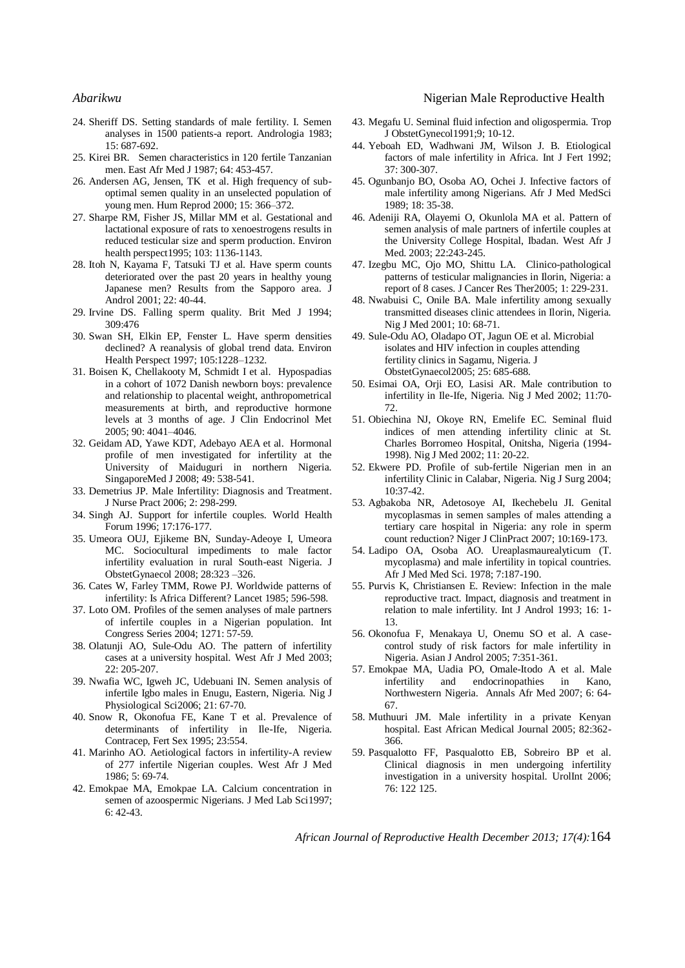- 24. Sheriff DS. Setting standards of male fertility. I. Semen analyses in 1500 patients-a report. Andrologia 1983; 15: 687-692.
- 25. Kirei BR. Semen characteristics in 120 fertile Tanzanian men. East Afr Med J 1987; 64: 453-457.
- 26. Andersen AG, Jensen, TK et al. High frequency of suboptimal semen quality in an unselected population of young men. Hum Reprod 2000; 15: 366–372.
- 27. Sharpe RM, Fisher JS, Millar MM et al. Gestational and lactational exposure of rats to xenoestrogens results in reduced testicular size and sperm production. Environ health perspect1995; 103: 1136-1143.
- 28. Itoh N, Kayama F, Tatsuki TJ et al. Have sperm counts deteriorated over the past 20 years in healthy young Japanese men? Results from the Sapporo area. J Androl 2001; 22: 40-44.
- 29. Irvine DS. Falling sperm quality. Brit Med J 1994; 309:476
- 30. Swan SH, Elkin EP, Fenster L. Have sperm densities declined? A reanalysis of global trend data. Environ Health Perspect 1997; 105:1228–1232.
- 31. Boisen K, Chellakooty M, Schmidt I et al. Hypospadias in a cohort of 1072 Danish newborn boys: prevalence and relationship to placental weight, anthropometrical measurements at birth, and reproductive hormone levels at 3 months of age. J Clin Endocrinol Met 2005; 90: 4041–4046.
- 32. Geidam AD, Yawe KDT, Adebayo AEA et al. Hormonal profile of men investigated for infertility at the University of Maiduguri in northern Nigeria. SingaporeMed J 2008; 49: 538-541.
- 33. Demetrius JP. Male Infertility: Diagnosis and Treatment. J Nurse Pract 2006; 2: 298-299.
- 34. Singh AJ. Support for infertile couples. World Health Forum 1996; 17:176-177.
- 35. Umeora OUJ, Ejikeme BN, Sunday-Adeoye I, Umeora MC. Sociocultural impediments to male factor infertility evaluation in rural South-east Nigeria. J ObstetGynaecol 2008; 28:323 –326.
- 36. Cates W, Farley TMM, Rowe PJ. Worldwide patterns of infertility: Is Africa Different? Lancet 1985; 596-598.
- 37. Loto OM. Profiles of the semen analyses of male partners of infertile couples in a Nigerian population. Int Congress Series 2004; 1271: 57-59.
- 38. Olatunji AO, Sule-Odu AO. The pattern of infertility cases at a university hospital. West Afr J Med 2003; 22: 205-207.
- 39. Nwafia WC, Igweh JC, Udebuani IN. Semen analysis of infertile Igbo males in Enugu, Eastern, Nigeria. Nig J Physiological Sci2006; 21: 67-70.
- 40. Snow R, Okonofua FE, Kane T et al. Prevalence of determinants of infertility in Ile-Ife, Nigeria. Contracep, Fert Sex 1995; 23:554.
- 41. Marinho AO. Aetiological factors in infertility-A review of 277 infertile Nigerian couples. West Afr J Med 1986; 5: 69-74.
- 42. Emokpae MA, Emokpae LA. Calcium concentration in semen of azoospermic Nigerians. J Med Lab Sci1997; 6: 42-43.

### *Abarikwu* **Nigerian Male Reproductive Health Nigerian Male Reproductive Health**

- 43. Megafu U. Seminal fluid infection and oligospermia. Trop J ObstetGynecol1991;9; 10-12.
- 44. Yeboah ED, Wadhwani JM, Wilson J. B. Etiological factors of male infertility in Africa. Int J Fert 1992; 37: 300-307.
- 45. Ogunbanjo BO, Osoba AO, Ochei J. Infective factors of male infertility among Nigerians. Afr J Med MedSci 1989; 18: 35-38.
- 46. Adeniji RA, Olayemi O, Okunlola MA et al. Pattern of semen analysis of male partners of infertile couples at the University College Hospital, Ibadan. West Afr J Med. 2003; 22:243-245.
- 47. Izegbu MC, Ojo MO, Shittu LA. Clinico-pathological patterns of testicular malignancies in Ilorin, Nigeria: a report of 8 cases. J Cancer Res Ther2005; 1: 229-231.
- 48. Nwabuisi C, Onile BA. Male infertility among sexually transmitted diseases clinic attendees in Ilorin, Nigeria. Nig J Med 2001; 10: 68-71.
- 49. Sule-Odu AO, Oladapo OT, Jagun OE et al. Microbial isolates and HIV infection in couples attending fertility clinics in Sagamu, Nigeria. J ObstetGynaecol2005; 25: 685-688.
- 50. Esimai OA, Orji EO, Lasisi AR. Male contribution to infertility in Ile-Ife, Nigeria. Nig J Med 2002; 11:70- 72.
- 51. Obiechina NJ, Okoye RN, Emelife EC. Seminal fluid indices of men attending infertility clinic at St. Charles Borromeo Hospital, Onitsha, Nigeria (1994- 1998). Nig J Med 2002; 11: 20-22.
- 52. Ekwere PD. Profile of sub-fertile Nigerian men in an infertility Clinic in Calabar, Nigeria. Nig J Surg 2004; 10:37-42.
- 53. Agbakoba NR, Adetosoye AI, Ikechebelu JI. Genital mycoplasmas in semen samples of males attending a tertiary care hospital in Nigeria: any role in sperm count reduction? Niger J ClinPract 2007; 10:169-173.
- 54. Ladipo OA, Osoba AO. Ureaplasmaurealyticum (T. mycoplasma) and male infertility in topical countries. Afr J Med Med Sci. 1978; 7:187-190.
- 55. Purvis K, Christiansen E. Review: Infection in the male reproductive tract. Impact, diagnosis and treatment in relation to male infertility. Int J Androl 1993; 16: 1- 13.
- 56. Okonofua F, Menakaya U, Onemu SO et al. A casecontrol study of risk factors for male infertility in Nigeria. Asian J Androl 2005; 7:351-361.
- 57. Emokpae MA, Uadia PO, Omale-Itodo A et al. Male infertility and endocrinopathies in Kano, Northwestern Nigeria. Annals Afr Med 2007; 6: 64- 67.
- 58. Muthuuri JM. Male infertility in a private Kenyan hospital. East African Medical Journal 2005; 82:362- 366.
- 59. Pasqualotto FF, Pasqualotto EB, Sobreiro BP et al. Clinical diagnosis in men undergoing infertility investigation in a university hospital. UrolInt 2006; 76: 122 125.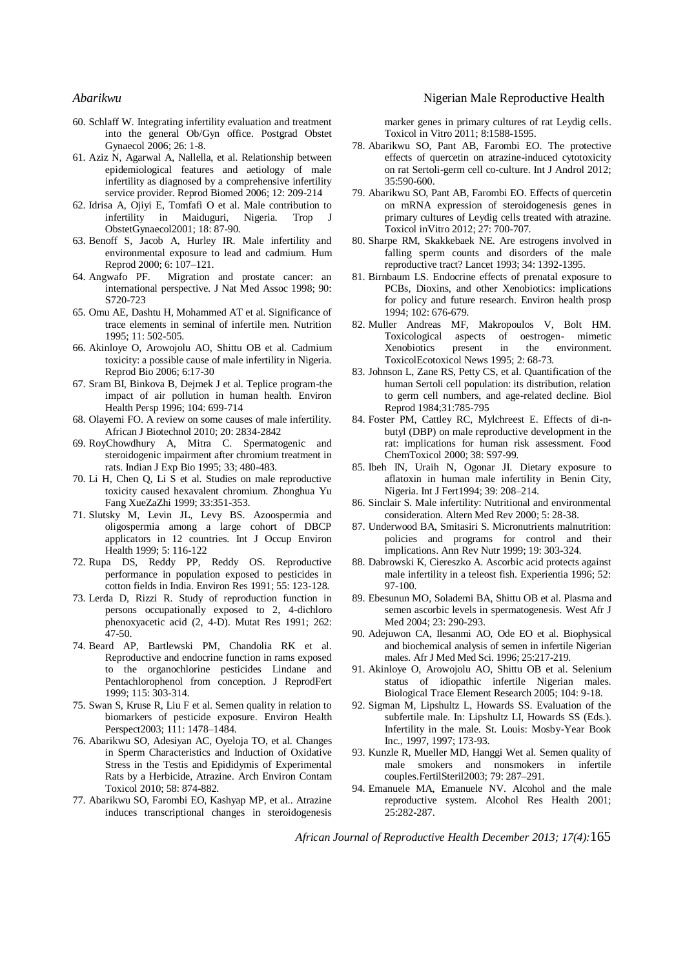- 60. Schlaff W. Integrating infertility evaluation and treatment into the general Ob/Gyn office. Postgrad Obstet Gynaecol 2006; 26: 1-8.
- 61. Aziz N, Agarwal A, Nallella, et al. Relationship between epidemiological features and aetiology of male infertility as diagnosed by a comprehensive infertility service provider. Reprod Biomed 2006; 12: 209-214
- 62. Idrisa A, Ojiyi E, Tomfafi O et al. Male contribution to infertility in Maiduguri, Nigeria. Trop J ObstetGynaecol2001; 18: 87-90.
- 63. Benoff S, Jacob A, Hurley IR. Male infertility and environmental exposure to lead and cadmium. Hum Reprod 2000; 6: 107–121.
- 64. Angwafo PF. Migration and prostate cancer: an international perspective. J Nat Med Assoc 1998; 90: S720-723
- 65. Omu AE, Dashtu H, Mohammed AT et al. Significance of trace elements in seminal of infertile men. Nutrition 1995; 11: 502-505.
- 66. Akinloye O, Arowojolu AO, Shittu OB et al. Cadmium toxicity: a possible cause of male infertility in Nigeria. Reprod Bio 2006; 6:17-30
- 67. Sram BI, Binkova B, Dejmek J et al. Teplice program-the impact of air pollution in human health. Environ Health Persp 1996; 104: 699-714
- 68. Olayemi FO. A review on some causes of male infertility. African J Biotechnol 2010; 20: 2834-2842
- 69. RoyChowdhury A, Mitra C. Spermatogenic and steroidogenic impairment after chromium treatment in rats. Indian J Exp Bio 1995; 33; 480-483.
- 70. Li H, Chen Q, Li S et al. Studies on male reproductive toxicity caused hexavalent chromium. Zhonghua Yu Fang XueZaZhi 1999; 33:351-353.
- 71. Slutsky M, Levin JL, Levy BS. Azoospermia and oligospermia among a large cohort of DBCP applicators in 12 countries. Int J Occup Environ Health 1999; 5: 116-122
- 72. Rupa DS, Reddy PP, Reddy OS. Reproductive performance in population exposed to pesticides in cotton fields in India. Environ Res 1991; 55: 123-128.
- 73. Lerda D, Rizzi R. Study of reproduction function in persons occupationally exposed to 2, 4-dichloro phenoxyacetic acid (2, 4-D). Mutat Res 1991; 262:  $47-50.$
- 74. Beard AP, Bartlewski PM, Chandolia RK et al. Reproductive and endocrine function in rams exposed to the organochlorine pesticides Lindane and Pentachlorophenol from conception. J ReprodFert 1999; 115: 303-314.
- 75. Swan S, Kruse R, Liu F et al. Semen quality in relation to biomarkers of pesticide exposure. Environ Health Perspect2003; 111: 1478–1484.
- 76. Abarikwu SO, Adesiyan AC, Oyeloja TO, et al. Changes in Sperm Characteristics and Induction of Oxidative Stress in the Testis and Epididymis of Experimental Rats by a Herbicide, Atrazine. Arch Environ Contam Toxicol 2010; 58: 874-882.
- 77. Abarikwu SO, Farombi EO, Kashyap MP, et al.. Atrazine induces transcriptional changes in steroidogenesis

### *Abarikwu* **Nigerian Male Reproductive Health Nigerian Male Reproductive Health**

marker genes in primary cultures of rat Leydig cells. Toxicol in Vitro 2011; 8:1588-1595.

- 78. Abarikwu SO, Pant AB, Farombi EO. The protective effects of quercetin on atrazine-induced cytotoxicity on rat Sertoli-germ cell co-culture. Int J Androl 2012; 35:590-600.
- 79. Abarikwu SO, Pant AB, Farombi EO. Effects of quercetin on mRNA expression of steroidogenesis genes in primary cultures of Leydig cells treated with atrazine. Toxicol inVitro 2012; 27: 700-707.
- 80. Sharpe RM, Skakkebaek NE. Are estrogens involved in falling sperm counts and disorders of the male reproductive tract? Lancet 1993; 34: 1392-1395.
- 81. Birnbaum LS. Endocrine effects of prenatal exposure to PCBs, Dioxins, and other Xenobiotics: implications for policy and future research. Environ health prosp 1994; 102: 676-679.
- 82. Muller Andreas MF, Makropoulos V, Bolt HM. Toxicological aspects of oestrogen- mimetic Xenobiotics present in the environment. ToxicolEcotoxicol News 1995; 2: 68-73.
- 83. Johnson L, Zane RS, Petty CS, et al. Quantification of the human Sertoli cell population: its distribution, relation to germ cell numbers, and age-related decline. Biol Reprod 1984;31:785-795
- 84. Foster PM, Cattley RC, Mylchreest E. Effects of di-nbutyl (DBP) on male reproductive development in the rat: implications for human risk assessment. Food ChemToxicol 2000; 38: S97-99.
- 85. Ibeh IN, Uraih N, Ogonar JI. Dietary exposure to aflatoxin in human male infertility in Benin City, Nigeria. Int J Fert1994; 39: 208–214.
- 86. Sinclair S. Male infertility: Nutritional and environmental consideration. Altern Med Rev 2000; 5: 28-38.
- 87. Underwood BA, Smitasiri S. Micronutrients malnutrition: policies and programs for control and their implications. Ann Rev Nutr 1999; 19: 303-324.
- 88. Dabrowski K, Ciereszko A. Ascorbic acid protects against male infertility in a teleost fish. Experientia 1996; 52: 97-100.
- 89. Ebesunun MO, Solademi BA, Shittu OB et al. Plasma and semen ascorbic levels in spermatogenesis. West Afr J Med 2004; 23: 290-293.
- 90. Adejuwon CA, Ilesanmi AO, [Ode EO](http://www.ncbi.nlm.nih.gov/pubmed?term=%22Ode%20EO%22%5BAuthor%5D) et al. Biophysical and biochemical analysis of semen in infertile Nigerian males. Afr J Med Med Sci. 1996; 25:217-219.
- 91. Akinloye O, Arowojolu AO, Shittu OB et al. Selenium status of idiopathic infertile Nigerian males. Biological Trace Element Research 2005; 104: 9-18.
- 92. Sigman M, Lipshultz L, Howards SS. Evaluation of the subfertile male. In: Lipshultz LI, Howards SS (Eds.). Infertility in the male. St. Louis: Mosby-Year Book Inc., 1997, 1997; 173-93.
- 93. Kunzle R, Mueller MD, Hanggi Wet al. Semen quality of male smokers and nonsmokers in infertile couples.FertilSteril2003; 79: 287–291.
- 94. Emanuele MA, Emanuele NV. Alcohol and the male reproductive system. Alcohol Res Health 2001; 25:282-287.